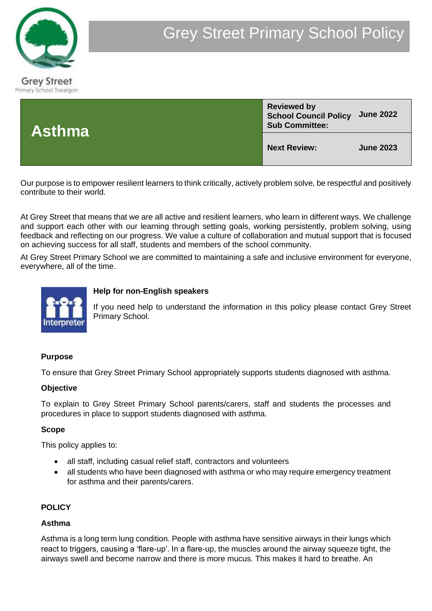



Our purpose is to empower resilient learners to think critically, actively problem solve, be respectful and positively contribute to their world.

At Grey Street that means that we are all active and resilient learners, who learn in different ways. We challenge and support each other with our learning through setting goals, working persistently, problem solving, using feedback and reflecting on our progress. We value a culture of collaboration and mutual support that is focused on achieving success for all staff, students and members of the school community.

At Grey Street Primary School we are committed to maintaining a safe and inclusive environment for everyone, everywhere, all of the time.



#### **Help for non-English speakers**

If you need help to understand the information in this policy please contact Grey Street Primary School.

#### **Purpose**

To ensure that Grey Street Primary School appropriately supports students diagnosed with asthma.

#### **Objective**

To explain to Grey Street Primary School parents/carers, staff and students the processes and procedures in place to support students diagnosed with asthma.

#### **Scope**

This policy applies to:

- all staff, including casual relief staff, contractors and volunteers
- all students who have been diagnosed with asthma or who may require emergency treatment for asthma and their parents/carers.

#### **POLICY**

#### **Asthma**

Asthma is a long term lung condition. People with asthma have sensitive airways in their lungs which react to triggers, causing a 'flare-up'. In a flare-up, the muscles around the airway squeeze tight, the airways swell and become narrow and there is more mucus. This makes it hard to breathe. An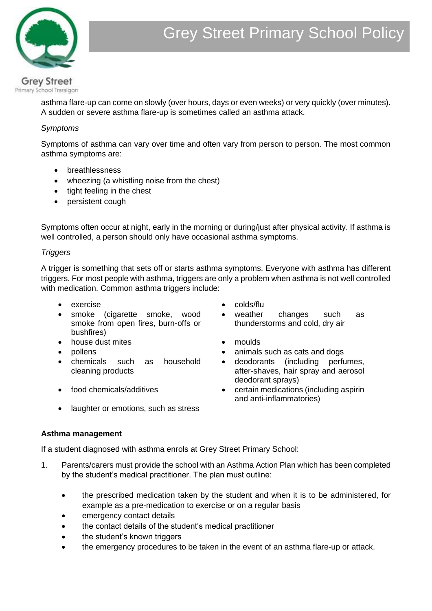

asthma flare-up can come on slowly (over hours, days or even weeks) or very quickly (over minutes). A sudden or severe asthma flare-up is sometimes called an asthma attack.

## *Symptoms*

Symptoms of asthma can vary over time and often vary from person to person. The most common asthma symptoms are:

- breathlessness
- wheezing (a whistling noise from the chest)
- tight feeling in the chest
- persistent cough

Symptoms often occur at night, early in the morning or during/just after physical activity. If asthma is well controlled, a person should only have occasional asthma symptoms.

## *Triggers*

A trigger is something that sets off or starts asthma symptoms. Everyone with asthma has different triggers. For most people with asthma, triggers are only a problem when asthma is not well controlled with medication. Common asthma triggers include:

- exercise colds/flu
- smoke (cigarette smoke, wood smoke from open fires, burn-offs or bushfires)
- house dust mites moulds
- 
- chemicals such as household cleaning products
- 
- weather changes such as thunderstorms and cold, dry air
- 
- pollens animals such as cats and dogs
	- deodorants (including perfumes, after-shaves, hair spray and aerosol deodorant sprays)
- food chemicals/additives certain medications (including aspirin and anti-inflammatories)
- laughter or emotions, such as stress

#### **Asthma management**

If a student diagnosed with asthma enrols at Grey Street Primary School:

- 1. Parents/carers must provide the school with an Asthma Action Plan which has been completed by the student's medical practitioner. The plan must outline:
	- the prescribed medication taken by the student and when it is to be administered, for example as a pre-medication to exercise or on a regular basis
	- emergency contact details
	- the contact details of the student's medical practitioner
	- the student's known triggers
	- the emergency procedures to be taken in the event of an asthma flare-up or attack.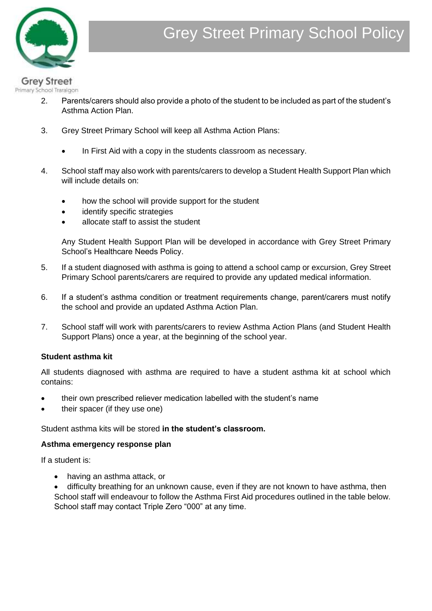

#### **Grey Street** Primary School Traralgon

- 2. Parents/carers should also provide a photo of the student to be included as part of the student's Asthma Action Plan.
- 3. Grey Street Primary School will keep all Asthma Action Plans:
	- In First Aid with a copy in the students classroom as necessary.
- 4. School staff may also work with parents/carers to develop a Student Health Support Plan which will include details on:
	- how the school will provide support for the student
	- identify specific strategies
	- allocate staff to assist the student

Any Student Health Support Plan will be developed in accordance with Grey Street Primary School's Healthcare Needs Policy.

- 5. If a student diagnosed with asthma is going to attend a school camp or excursion, Grey Street Primary School parents/carers are required to provide any updated medical information.
- 6. If a student's asthma condition or treatment requirements change, parent/carers must notify the school and provide an updated Asthma Action Plan.
- 7. School staff will work with parents/carers to review Asthma Action Plans (and Student Health Support Plans) once a year, at the beginning of the school year.

# **Student asthma kit**

All students diagnosed with asthma are required to have a student asthma kit at school which contains:

- their own prescribed reliever medication labelled with the student's name
- their spacer (if they use one)

#### Student asthma kits will be stored **in the student's classroom.**

#### **Asthma emergency response plan**

If a student is:

• having an asthma attack, or

• difficulty breathing for an unknown cause, even if they are not known to have asthma, then School staff will endeavour to follow the Asthma First Aid procedures outlined in the table below. School staff may contact Triple Zero "000" at any time.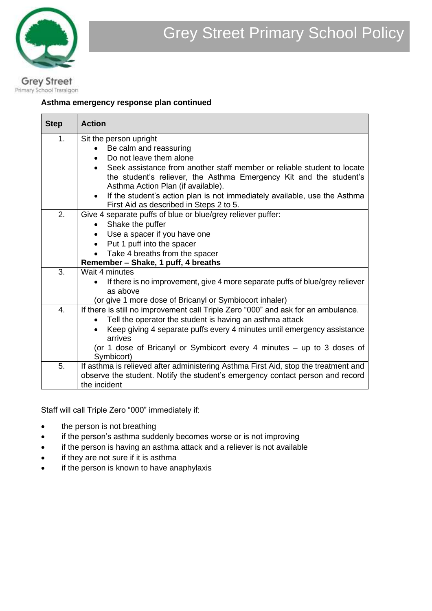

# **Asthma emergency response plan continued**

| <b>Step</b> | <b>Action</b>                                                                                                                                 |  |  |  |  |  |
|-------------|-----------------------------------------------------------------------------------------------------------------------------------------------|--|--|--|--|--|
| 1.          | Sit the person upright                                                                                                                        |  |  |  |  |  |
|             | Be calm and reassuring                                                                                                                        |  |  |  |  |  |
|             | Do not leave them alone                                                                                                                       |  |  |  |  |  |
|             | Seek assistance from another staff member or reliable student to locate<br>the student's reliever, the Asthma Emergency Kit and the student's |  |  |  |  |  |
|             | Asthma Action Plan (if available).                                                                                                            |  |  |  |  |  |
|             | If the student's action plan is not immediately available, use the Asthma<br>$\bullet$<br>First Aid as described in Steps 2 to 5.             |  |  |  |  |  |
| 2.          | Give 4 separate puffs of blue or blue/grey reliever puffer:                                                                                   |  |  |  |  |  |
|             | Shake the puffer                                                                                                                              |  |  |  |  |  |
|             | Use a spacer if you have one                                                                                                                  |  |  |  |  |  |
|             | Put 1 puff into the spacer<br>$\bullet$                                                                                                       |  |  |  |  |  |
|             | Take 4 breaths from the spacer                                                                                                                |  |  |  |  |  |
|             | Remember - Shake, 1 puff, 4 breaths                                                                                                           |  |  |  |  |  |
| 3.          | Wait 4 minutes                                                                                                                                |  |  |  |  |  |
|             | If there is no improvement, give 4 more separate puffs of blue/grey reliever<br>as above                                                      |  |  |  |  |  |
|             | (or give 1 more dose of Bricanyl or Symbiocort inhaler)                                                                                       |  |  |  |  |  |
| 4.          | If there is still no improvement call Triple Zero "000" and ask for an ambulance.                                                             |  |  |  |  |  |
|             | Tell the operator the student is having an asthma attack                                                                                      |  |  |  |  |  |
|             | Keep giving 4 separate puffs every 4 minutes until emergency assistance                                                                       |  |  |  |  |  |
|             | arrives                                                                                                                                       |  |  |  |  |  |
|             | (or 1 dose of Bricanyl or Symbicort every 4 minutes - up to 3 doses of<br>Symbicort)                                                          |  |  |  |  |  |
| 5.          | If asthma is relieved after administering Asthma First Aid, stop the treatment and                                                            |  |  |  |  |  |
|             | observe the student. Notify the student's emergency contact person and record                                                                 |  |  |  |  |  |
|             | the incident                                                                                                                                  |  |  |  |  |  |

Staff will call Triple Zero "000" immediately if:

- the person is not breathing
- if the person's asthma suddenly becomes worse or is not improving
- if the person is having an asthma attack and a reliever is not available
- if they are not sure if it is asthma
- if the person is known to have anaphylaxis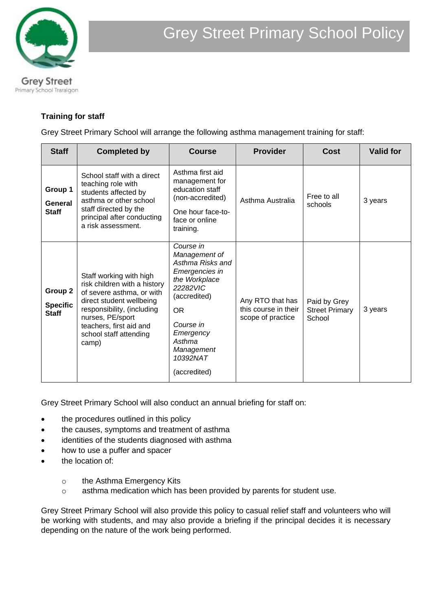

# **Training for staff**

Grey Street Primary School will arrange the following asthma management training for staff:

| <b>Staff</b>                               | <b>Completed by</b>                                                                                                                                                                                                              | <b>Course</b>                                                                                                                                                                                            | <b>Provider</b>                                               | Cost                                            | <b>Valid for</b> |
|--------------------------------------------|----------------------------------------------------------------------------------------------------------------------------------------------------------------------------------------------------------------------------------|----------------------------------------------------------------------------------------------------------------------------------------------------------------------------------------------------------|---------------------------------------------------------------|-------------------------------------------------|------------------|
| Group 1<br>General<br><b>Staff</b>         | School staff with a direct<br>teaching role with<br>students affected by<br>asthma or other school<br>staff directed by the<br>principal after conducting<br>a risk assessment.                                                  | Asthma first aid<br>management for<br>education staff<br>(non-accredited)<br>One hour face-to-<br>face or online<br>training.                                                                            | Asthma Australia                                              | Free to all<br>schools                          | 3 years          |
| Group 2<br><b>Specific</b><br><b>Staff</b> | Staff working with high<br>risk children with a history<br>of severe asthma, or with<br>direct student wellbeing<br>responsibility, (including<br>nurses, PE/sport<br>teachers, first aid and<br>school staff attending<br>camp) | Course in<br>Management of<br>Asthma Risks and<br>Emergencies in<br>the Workplace<br>22282VIC<br>(accredited)<br><b>OR</b><br>Course in<br>Emergency<br>Asthma<br>Management<br>10392NAT<br>(accredited) | Any RTO that has<br>this course in their<br>scope of practice | Paid by Grey<br><b>Street Primary</b><br>School | 3 years          |

Grey Street Primary School will also conduct an annual briefing for staff on:

- the procedures outlined in this policy
- the causes, symptoms and treatment of asthma
- identities of the students diagnosed with asthma
- how to use a puffer and spacer
- the location of:
	- o the Asthma Emergency Kits
	- o asthma medication which has been provided by parents for student use.

Grey Street Primary School will also provide this policy to casual relief staff and volunteers who will be working with students, and may also provide a briefing if the principal decides it is necessary depending on the nature of the work being performed.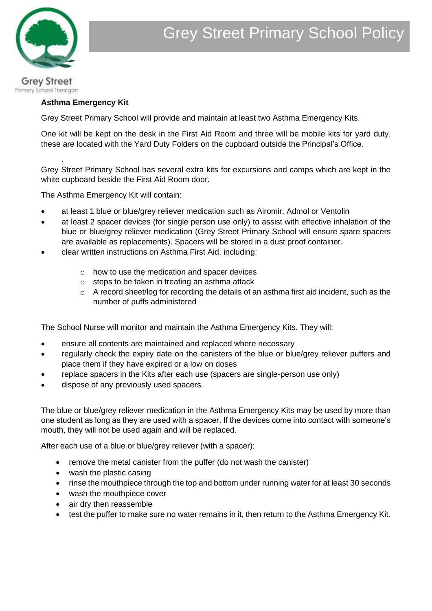

# **Asthma Emergency Kit**

.

Grey Street Primary School will provide and maintain at least two Asthma Emergency Kits.

One kit will be kept on the desk in the First Aid Room and three will be mobile kits for yard duty, these are located with the Yard Duty Folders on the cupboard outside the Principal's Office.

Grey Street Primary School has several extra kits for excursions and camps which are kept in the white cupboard beside the First Aid Room door.

The Asthma Emergency Kit will contain:

- at least 1 blue or blue/grey reliever medication such as Airomir, Admol or Ventolin
- at least 2 spacer devices (for single person use only) to assist with effective inhalation of the blue or blue/grey reliever medication (Grey Street Primary School will ensure spare spacers are available as replacements). Spacers will be stored in a dust proof container.
- clear written instructions on Asthma First Aid, including:
	- o how to use the medication and spacer devices
	- o steps to be taken in treating an asthma attack
	- o A record sheet/log for recording the details of an asthma first aid incident, such as the number of puffs administered

The School Nurse will monitor and maintain the Asthma Emergency Kits. They will:

- ensure all contents are maintained and replaced where necessary
- regularly check the expiry date on the canisters of the blue or blue/grey reliever puffers and place them if they have expired or a low on doses
- replace spacers in the Kits after each use (spacers are single-person use only)
- dispose of any previously used spacers.

The blue or blue/grey reliever medication in the Asthma Emergency Kits may be used by more than one student as long as they are used with a spacer. If the devices come into contact with someone's mouth, they will not be used again and will be replaced.

After each use of a blue or blue/grey reliever (with a spacer):

- remove the metal canister from the puffer (do not wash the canister)
- wash the plastic casing
- rinse the mouthpiece through the top and bottom under running water for at least 30 seconds
- wash the mouthpiece cover
- air dry then reassemble
- test the puffer to make sure no water remains in it, then return to the Asthma Emergency Kit.